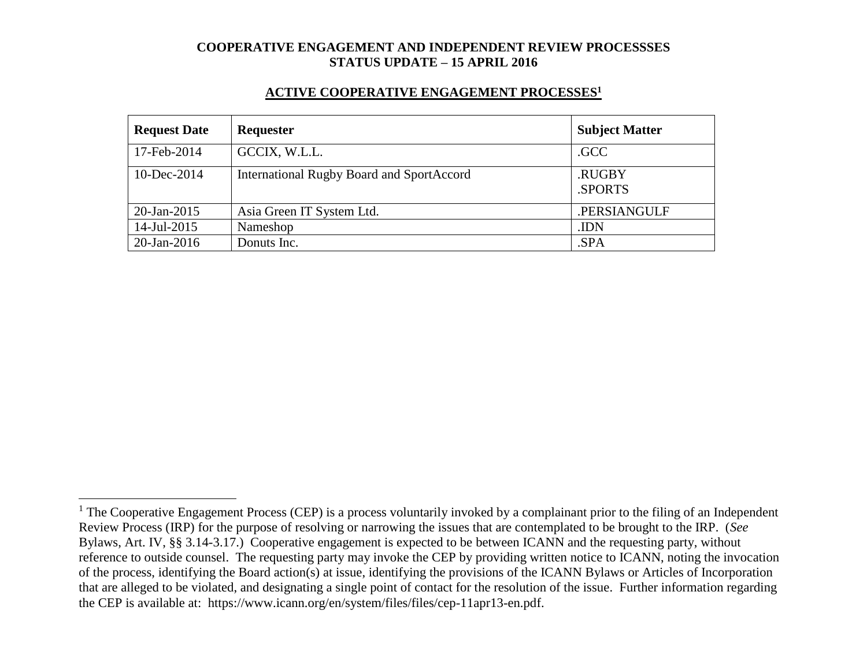#### **ACTIVE COOPERATIVE ENGAGEMENT PROCESSES<sup>1</sup>**

| <b>Request Date</b> | Requester                                        | <b>Subject Matter</b> |
|---------------------|--------------------------------------------------|-----------------------|
| 17-Feb-2014         | GCCIX, W.L.L.                                    | .GCC                  |
| 10-Dec-2014         | <b>International Rugby Board and SportAccord</b> | .RUGBY<br>.SPORTS     |
| $20$ -Jan-2015      | Asia Green IT System Ltd.                        | .PERSIANGULF          |
| 14-Jul-2015         | Nameshop                                         | .IDN                  |
| $20$ -Jan-2016      | Donuts Inc.                                      | .SPA                  |

 $\overline{a}$ 

 $1$  The Cooperative Engagement Process (CEP) is a process voluntarily invoked by a complainant prior to the filing of an Independent Review Process (IRP) for the purpose of resolving or narrowing the issues that are contemplated to be brought to the IRP. (*See* Bylaws, Art. IV, §§ 3.14-3.17.) Cooperative engagement is expected to be between ICANN and the requesting party, without reference to outside counsel. The requesting party may invoke the CEP by providing written notice to ICANN, noting the invocation of the process, identifying the Board action(s) at issue, identifying the provisions of the ICANN Bylaws or Articles of Incorporation that are alleged to be violated, and designating a single point of contact for the resolution of the issue. Further information regarding the CEP is available at: https://www.icann.org/en/system/files/files/cep-11apr13-en.pdf.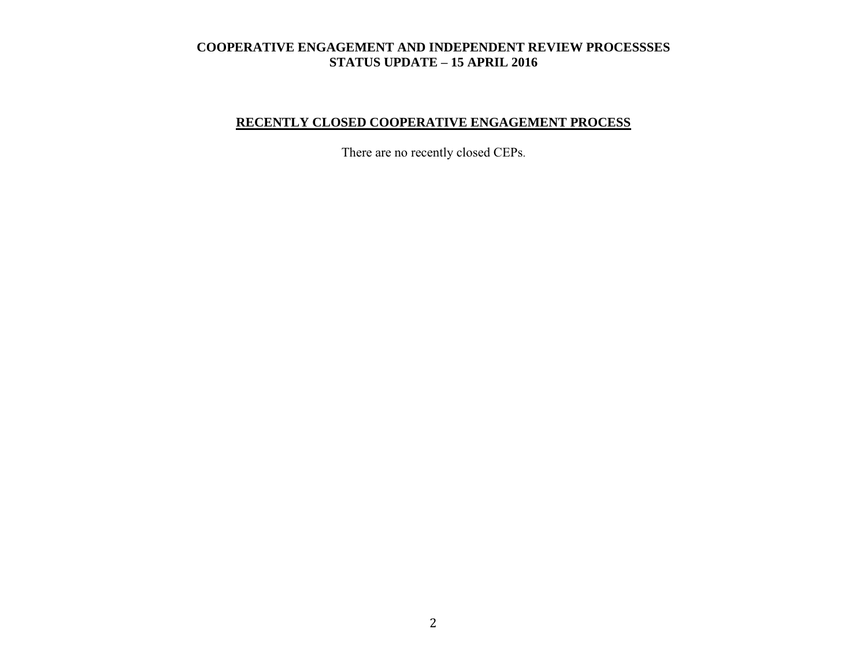# **RECENTLY CLOSED COOPERATIVE ENGAGEMENT PROCESS**

There are no recently closed CEPs.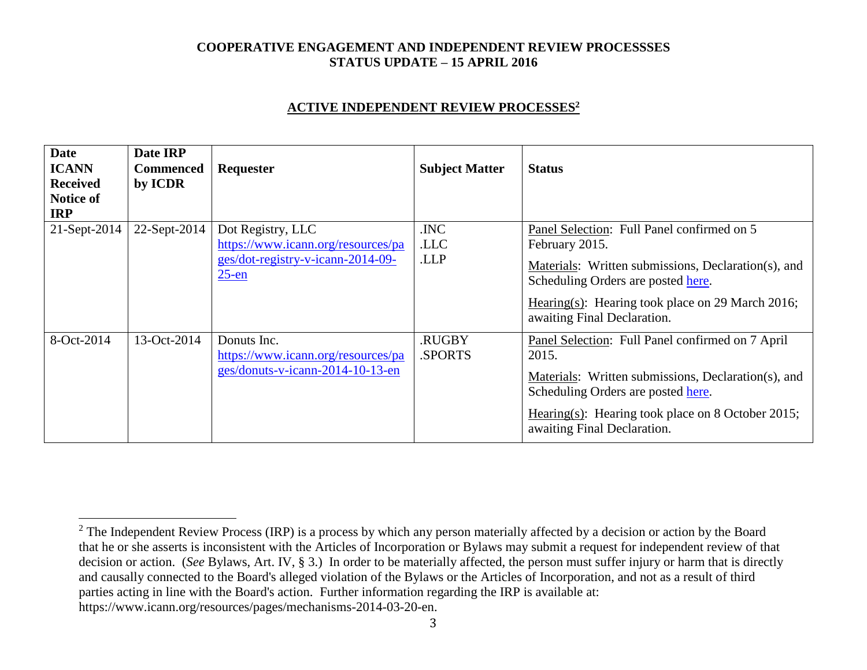#### **ACTIVE INDEPENDENT REVIEW PROCESSES<sup>2</sup>**

| <b>Date</b><br><b>ICANN</b><br><b>Received</b><br><b>Notice of</b><br><b>IRP</b> | Date IRP<br><b>Commenced</b><br>by ICDR | Requester                                                                                                | <b>Subject Matter</b>   | <b>Status</b>                                                                                                                                                                                                                                |
|----------------------------------------------------------------------------------|-----------------------------------------|----------------------------------------------------------------------------------------------------------|-------------------------|----------------------------------------------------------------------------------------------------------------------------------------------------------------------------------------------------------------------------------------------|
| 21-Sept-2014                                                                     | 22-Sept-2014                            | Dot Registry, LLC<br>https://www.icann.org/resources/pa<br>ges/dot-registry-v-icann-2014-09-<br>$25$ -en | .INC<br>.LLC<br>.LLP    | Panel Selection: Full Panel confirmed on 5<br>February 2015.<br>Materials: Written submissions, Declaration(s), and<br>Scheduling Orders are posted here.<br>Hearing(s): Hearing took place on 29 March 2016;<br>awaiting Final Declaration. |
| 8-Oct-2014                                                                       | 13-Oct-2014                             | Donuts Inc.<br>https://www.icann.org/resources/pa<br>ges/donuts-v-icann-2014-10-13-en                    | <b>RUGBY</b><br>.SPORTS | Panel Selection: Full Panel confirmed on 7 April<br>2015.<br>Materials: Written submissions, Declaration(s), and<br>Scheduling Orders are posted here.<br>Hearing(s): Hearing took place on 8 October 2015;<br>awaiting Final Declaration.   |

 $\overline{a}$ 

<sup>&</sup>lt;sup>2</sup> The Independent Review Process (IRP) is a process by which any person materially affected by a decision or action by the Board that he or she asserts is inconsistent with the Articles of Incorporation or Bylaws may submit a request for independent review of that decision or action. (*See* Bylaws, Art. IV, § 3.) In order to be materially affected, the person must suffer injury or harm that is directly and causally connected to the Board's alleged violation of the Bylaws or the Articles of Incorporation, and not as a result of third parties acting in line with the Board's action. Further information regarding the IRP is available at: https://www.icann.org/resources/pages/mechanisms-2014-03-20-en.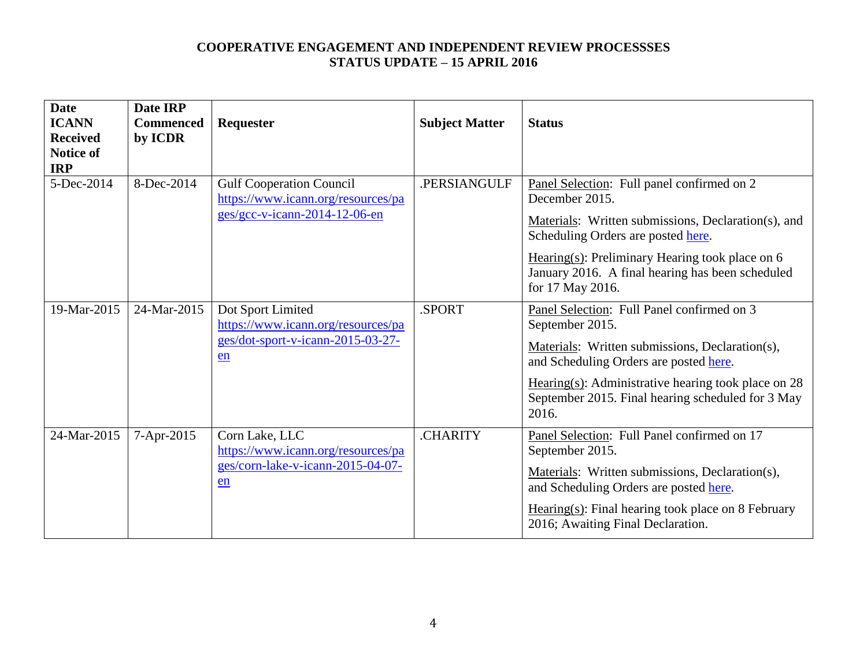| <b>Date</b><br><b>ICANN</b><br><b>Received</b><br><b>Notice of</b><br><b>IRP</b> | Date IRP<br><b>Commenced</b><br>by ICDR | Requester                                                                                              | <b>Subject Matter</b> | <b>Status</b>                                                                                                                                                                                                                                                                            |
|----------------------------------------------------------------------------------|-----------------------------------------|--------------------------------------------------------------------------------------------------------|-----------------------|------------------------------------------------------------------------------------------------------------------------------------------------------------------------------------------------------------------------------------------------------------------------------------------|
| 5-Dec-2014                                                                       | 8-Dec-2014                              | <b>Gulf Cooperation Council</b><br>https://www.icann.org/resources/pa<br>ges/gcc-v-icann-2014-12-06-en | .PERSIANGULF          | Panel Selection: Full panel confirmed on 2<br>December 2015.<br>Materials: Written submissions, Declaration(s), and<br>Scheduling Orders are posted here.<br>Hearing $(s)$ : Preliminary Hearing took place on 6<br>January 2016. A final hearing has been scheduled<br>for 17 May 2016. |
| 19-Mar-2015                                                                      | 24-Mar-2015                             | Dot Sport Limited<br>https://www.icann.org/resources/pa<br>ges/dot-sport-v-icann-2015-03-27-<br>en     | .SPORT                | Panel Selection: Full Panel confirmed on 3<br>September 2015.<br>Materials: Written submissions, Declaration(s),<br>and Scheduling Orders are posted here.<br>Hearing(s): Administrative hearing took place on $28$<br>September 2015. Final hearing scheduled for 3 May<br>2016.        |
| 24-Mar-2015                                                                      | 7-Apr-2015                              | Corn Lake, LLC<br>https://www.icann.org/resources/pa<br>ges/corn-lake-v-icann-2015-04-07-<br>en        | <b>CHARITY</b>        | Panel Selection: Full Panel confirmed on 17<br>September 2015.<br>Materials: Written submissions, Declaration(s),<br>and Scheduling Orders are posted here.<br>$Hearing(s): Final hearing took place on 8 February$<br>2016; Awaiting Final Declaration.                                 |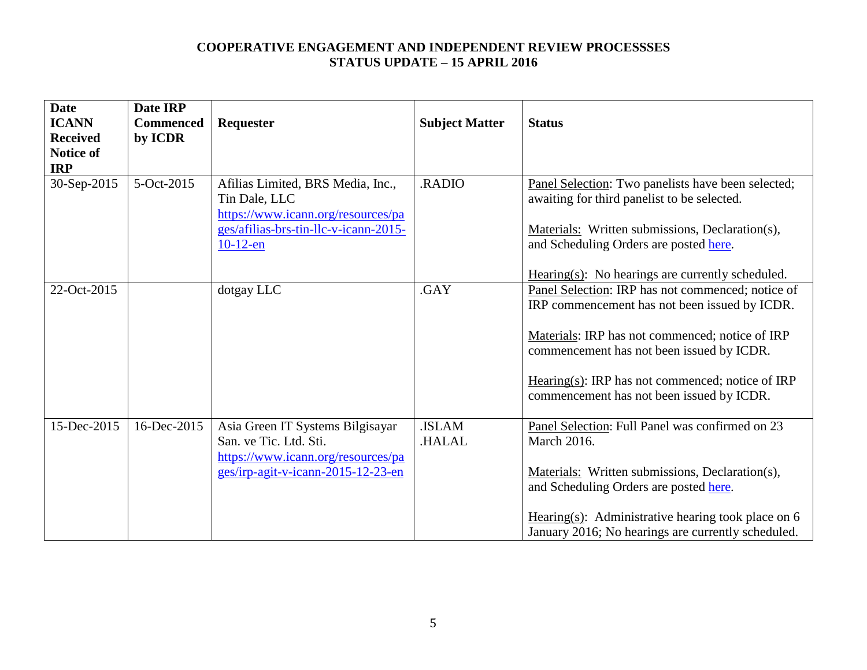| <b>Date</b><br><b>ICANN</b><br><b>Received</b><br>Notice of<br><b>IRP</b> | Date IRP<br><b>Commenced</b><br>by ICDR | Requester                                                                                                                                        | <b>Subject Matter</b>  | <b>Status</b>                                                                                                                                                                                                                                                                                       |
|---------------------------------------------------------------------------|-----------------------------------------|--------------------------------------------------------------------------------------------------------------------------------------------------|------------------------|-----------------------------------------------------------------------------------------------------------------------------------------------------------------------------------------------------------------------------------------------------------------------------------------------------|
| 30-Sep-2015                                                               | 5-Oct-2015                              | Afilias Limited, BRS Media, Inc.,<br>Tin Dale, LLC<br>https://www.icann.org/resources/pa<br>ges/afilias-brs-tin-llc-v-icann-2015-<br>$10-12$ -en | <b>RADIO</b>           | Panel Selection: Two panelists have been selected;<br>awaiting for third panelist to be selected.<br>Materials: Written submissions, Declaration(s),<br>and Scheduling Orders are posted here.<br>$Hearing(s):$ No hearings are currently scheduled.                                                |
| 22-Oct-2015                                                               |                                         | dotgay LLC                                                                                                                                       | .GAY                   | Panel Selection: IRP has not commenced; notice of<br>IRP commencement has not been issued by ICDR.<br>Materials: IRP has not commenced; notice of IRP<br>commencement has not been issued by ICDR.<br>Hearing(s): IRP has not commenced; notice of IRP<br>commencement has not been issued by ICDR. |
| 15-Dec-2015                                                               | 16-Dec-2015                             | Asia Green IT Systems Bilgisayar<br>San. ve Tic. Ltd. Sti.<br>https://www.icann.org/resources/pa<br>ges/irp-agit-v-icann-2015-12-23-en           | <b>ISLAM</b><br>HALAL. | Panel Selection: Full Panel was confirmed on 23<br><b>March 2016.</b><br>Materials: Written submissions, Declaration(s),<br>and Scheduling Orders are posted here.<br>Hearing(s): Administrative hearing took place on $6$<br>January 2016; No hearings are currently scheduled.                    |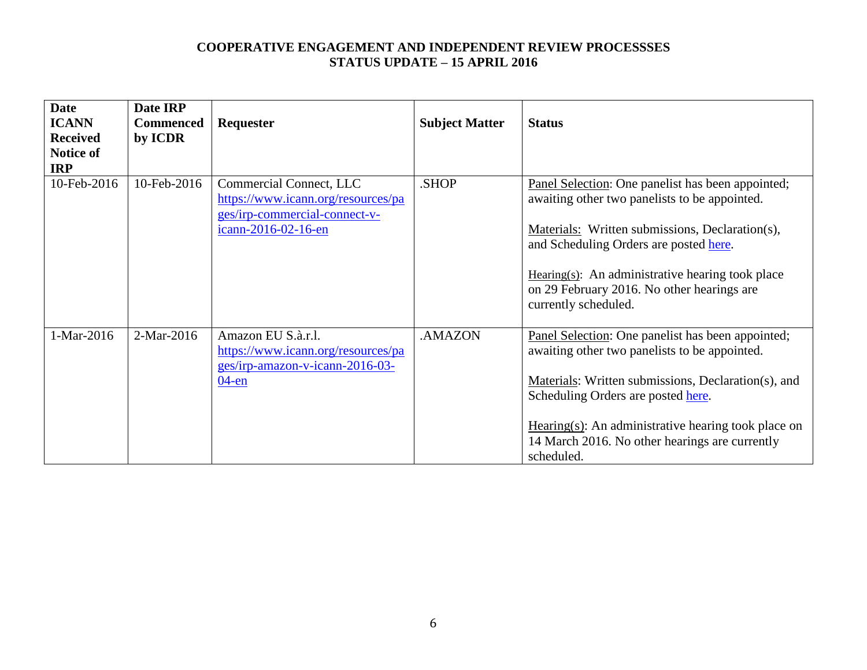| <b>Date</b>     | Date IRP         |                                    |                       |                                                                                         |
|-----------------|------------------|------------------------------------|-----------------------|-----------------------------------------------------------------------------------------|
| <b>ICANN</b>    | <b>Commenced</b> | <b>Requester</b>                   | <b>Subject Matter</b> | <b>Status</b>                                                                           |
| <b>Received</b> | by ICDR          |                                    |                       |                                                                                         |
| Notice of       |                  |                                    |                       |                                                                                         |
| <b>IRP</b>      |                  |                                    |                       |                                                                                         |
| 10-Feb-2016     | 10-Feb-2016      | Commercial Connect, LLC            | .SHOP                 | Panel Selection: One panelist has been appointed;                                       |
|                 |                  | https://www.icann.org/resources/pa |                       | awaiting other two panelists to be appointed.                                           |
|                 |                  | ges/irp-commercial-connect-v-      |                       |                                                                                         |
|                 |                  | icann-2016-02-16-en                |                       | Materials: Written submissions, Declaration(s),                                         |
|                 |                  |                                    |                       | and Scheduling Orders are posted here.                                                  |
|                 |                  |                                    |                       |                                                                                         |
|                 |                  |                                    |                       | Hearing(s): An administrative hearing took place                                        |
|                 |                  |                                    |                       | on 29 February 2016. No other hearings are                                              |
|                 |                  |                                    |                       | currently scheduled.                                                                    |
|                 |                  |                                    |                       |                                                                                         |
| 1-Mar-2016      | 2-Mar-2016       | Amazon EU S.à.r.l.                 | .AMAZON               | Panel Selection: One panelist has been appointed;                                       |
|                 |                  | https://www.icann.org/resources/pa |                       | awaiting other two panelists to be appointed.                                           |
|                 |                  | ges/irp-amazon-v-icann-2016-03-    |                       |                                                                                         |
|                 |                  | $04$ -en                           |                       | Materials: Written submissions, Declaration(s), and                                     |
|                 |                  |                                    |                       | Scheduling Orders are posted here.                                                      |
|                 |                  |                                    |                       |                                                                                         |
|                 |                  |                                    |                       | $\frac{\text{Hearing}(s)}{\text{Hearing}(s)}$ : An administrative hearing took place on |
|                 |                  |                                    |                       | 14 March 2016. No other hearings are currently                                          |
|                 |                  |                                    |                       | scheduled.                                                                              |